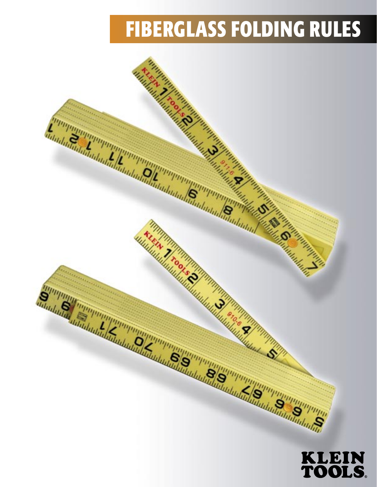# **FIBERGLASS FOLDING RULES**